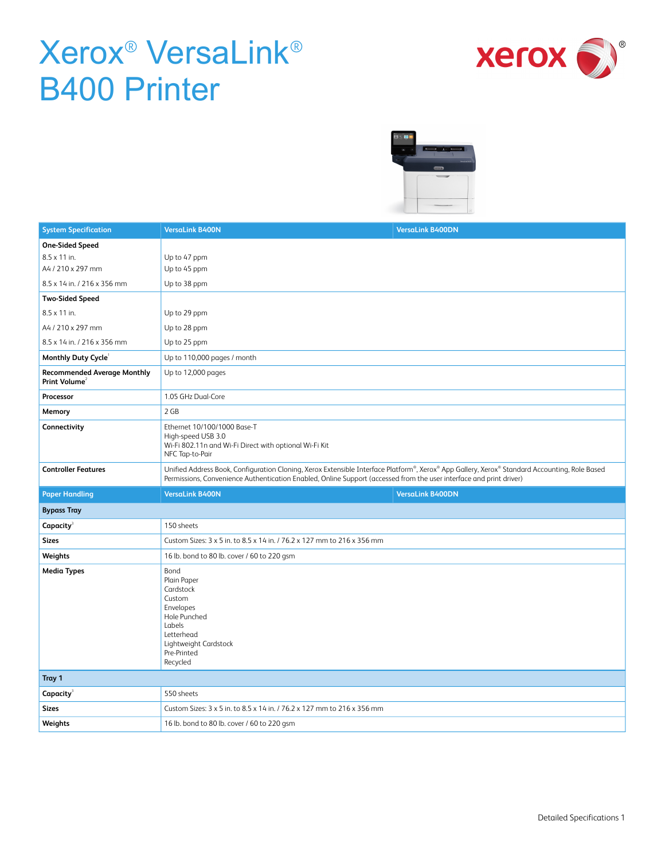



| <b>System Specification</b>                                     | <b>VersaLink B400N</b><br><b>VersaLink B400DN</b>                                                                                                                                                                                                                    |
|-----------------------------------------------------------------|----------------------------------------------------------------------------------------------------------------------------------------------------------------------------------------------------------------------------------------------------------------------|
| <b>One-Sided Speed</b>                                          |                                                                                                                                                                                                                                                                      |
| 8.5 x 11 in.                                                    | Up to 47 ppm                                                                                                                                                                                                                                                         |
| A4 / 210 x 297 mm                                               | Up to 45 ppm                                                                                                                                                                                                                                                         |
| 8.5 x 14 in. / 216 x 356 mm                                     | Up to 38 ppm                                                                                                                                                                                                                                                         |
| <b>Two-Sided Speed</b>                                          |                                                                                                                                                                                                                                                                      |
| 8.5 x 11 in.                                                    | Up to 29 ppm                                                                                                                                                                                                                                                         |
| A4 / 210 x 297 mm                                               | Up to 28 ppm                                                                                                                                                                                                                                                         |
| 8.5 x 14 in. / 216 x 356 mm                                     | Up to 25 ppm                                                                                                                                                                                                                                                         |
| Monthly Duty Cycle                                              | Up to 110,000 pages / month                                                                                                                                                                                                                                          |
| <b>Recommended Average Monthly</b><br>Print Volume <sup>2</sup> | Up to 12,000 pages                                                                                                                                                                                                                                                   |
| Processor                                                       | 1.05 GHz Dual-Core                                                                                                                                                                                                                                                   |
| Memory                                                          | 2 GB                                                                                                                                                                                                                                                                 |
| Connectivity                                                    | Ethernet 10/100/1000 Base-T<br>High-speed USB 3.0<br>Wi-Fi 802.11n and Wi-Fi Direct with optional Wi-Fi Kit<br>NFC Tap-to-Pair                                                                                                                                       |
| <b>Controller Features</b>                                      | Unified Address Book, Configuration Cloning, Xerox Extensible Interface Platform®, Xerox® App Gallery, Xerox® Standard Accounting, Role Based<br>Permissions, Convenience Authentication Enabled, Online Support (accessed from the user interface and print driver) |
| <b>Paper Handling</b>                                           | <b>VersaLink B400N</b><br><b>VersaLink B400DN</b>                                                                                                                                                                                                                    |
| <b>Bypass Tray</b>                                              |                                                                                                                                                                                                                                                                      |
| Capacity <sup>3</sup>                                           | 150 sheets                                                                                                                                                                                                                                                           |
| <b>Sizes</b>                                                    | Custom Sizes: 3 x 5 in. to 8.5 x 14 in. / 76.2 x 127 mm to 216 x 356 mm                                                                                                                                                                                              |
| Weights                                                         | 16 lb. bond to 80 lb. cover / 60 to 220 gsm                                                                                                                                                                                                                          |
| <b>Media Types</b>                                              | Bond<br>Plain Paper<br>Cardstock<br>Custom<br>Envelopes<br>Hole Punched<br>Labels<br>Letterhead<br>Lightweight Cardstock<br>Pre-Printed<br>Recycled                                                                                                                  |
| Tray 1                                                          |                                                                                                                                                                                                                                                                      |
| <b>Capacity</b>                                                 | 550 sheets                                                                                                                                                                                                                                                           |
| <b>Sizes</b>                                                    | Custom Sizes: 3 x 5 in. to 8.5 x 14 in. / 76.2 x 127 mm to 216 x 356 mm                                                                                                                                                                                              |
| Weights                                                         | 16 lb. bond to 80 lb. cover / 60 to 220 gsm                                                                                                                                                                                                                          |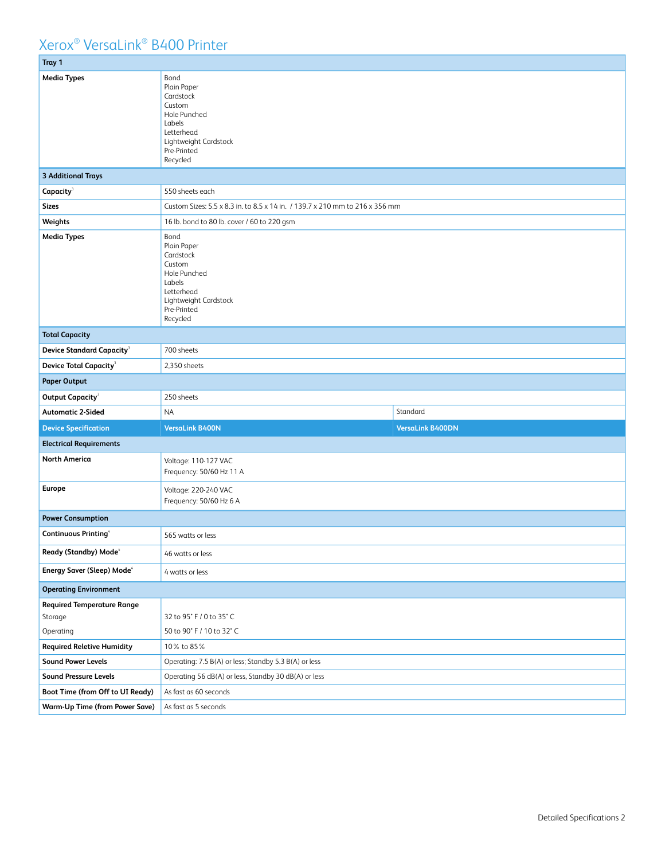| Tray 1                                                    |                                                                                                                                        |                         |  |
|-----------------------------------------------------------|----------------------------------------------------------------------------------------------------------------------------------------|-------------------------|--|
| <b>Media Types</b>                                        | Bond<br>Plain Paper<br>Cardstock<br>Custom<br>Hole Punched<br>Labels<br>Letterhead<br>Lightweight Cardstock<br>Pre-Printed<br>Recycled |                         |  |
| <b>3 Additional Trays</b>                                 |                                                                                                                                        |                         |  |
| Capacity <sup>3</sup>                                     | 550 sheets each                                                                                                                        |                         |  |
| <b>Sizes</b>                                              | Custom Sizes: 5.5 x 8.3 in. to 8.5 x 14 in. / 139.7 x 210 mm to 216 x 356 mm                                                           |                         |  |
| Weights                                                   | 16 lb. bond to 80 lb. cover / 60 to 220 gsm                                                                                            |                         |  |
| <b>Media Types</b>                                        | Bond<br>Plain Paper<br>Cardstock<br>Custom<br>Hole Punched<br>Labels<br>Letterhead<br>Lightweight Cardstock<br>Pre-Printed<br>Recycled |                         |  |
| <b>Total Capacity</b>                                     |                                                                                                                                        |                         |  |
| Device Standard Capacity $^3$                             | 700 sheets                                                                                                                             |                         |  |
| Device Total Capacity <sup>3</sup>                        | 2,350 sheets                                                                                                                           |                         |  |
| <b>Paper Output</b>                                       |                                                                                                                                        |                         |  |
| Output Capacity <sup>3</sup>                              | 250 sheets                                                                                                                             |                         |  |
| <b>Automatic 2-Sided</b>                                  | <b>NA</b>                                                                                                                              | Standard                |  |
| <b>Device Specification</b>                               | <b>VersaLink B400N</b>                                                                                                                 | <b>VersaLink B400DN</b> |  |
| <b>Electrical Requirements</b>                            |                                                                                                                                        |                         |  |
| North America                                             | Voltage: 110-127 VAC<br>Frequency: 50/60 Hz 11 A                                                                                       |                         |  |
| <b>Europe</b>                                             | Voltage: 220-240 VAC<br>Frequency: 50/60 Hz 6 A                                                                                        |                         |  |
| <b>Power Consumption</b>                                  |                                                                                                                                        |                         |  |
| <b>Continuous Printing®</b>                               | 565 watts or less                                                                                                                      |                         |  |
| Ready (Standby) Mode <sup>4</sup>                         | 46 watts or less                                                                                                                       |                         |  |
| Energy Saver (Sleep) Mode <sup>4</sup>                    | 4 watts or less                                                                                                                        |                         |  |
| <b>Operating Environment</b>                              |                                                                                                                                        |                         |  |
| <b>Required Temperature Range</b><br>Storage<br>Operating | 32 to 95° F / 0 to 35° C<br>50 to 90° F / 10 to 32° C                                                                                  |                         |  |
| <b>Required Reletive Humidity</b>                         | 10% to 85%                                                                                                                             |                         |  |
| <b>Sound Power Levels</b>                                 | Operating: 7.5 B(A) or less; Standby 5.3 B(A) or less                                                                                  |                         |  |
| <b>Sound Pressure Levels</b>                              | Operating 56 dB(A) or less, Standby 30 dB(A) or less                                                                                   |                         |  |
| Boot Time (from Off to UI Ready)                          | As fast as 60 seconds                                                                                                                  |                         |  |
| <b>Warm-Up Time (from Power Save)</b>                     | As fast as 5 seconds                                                                                                                   |                         |  |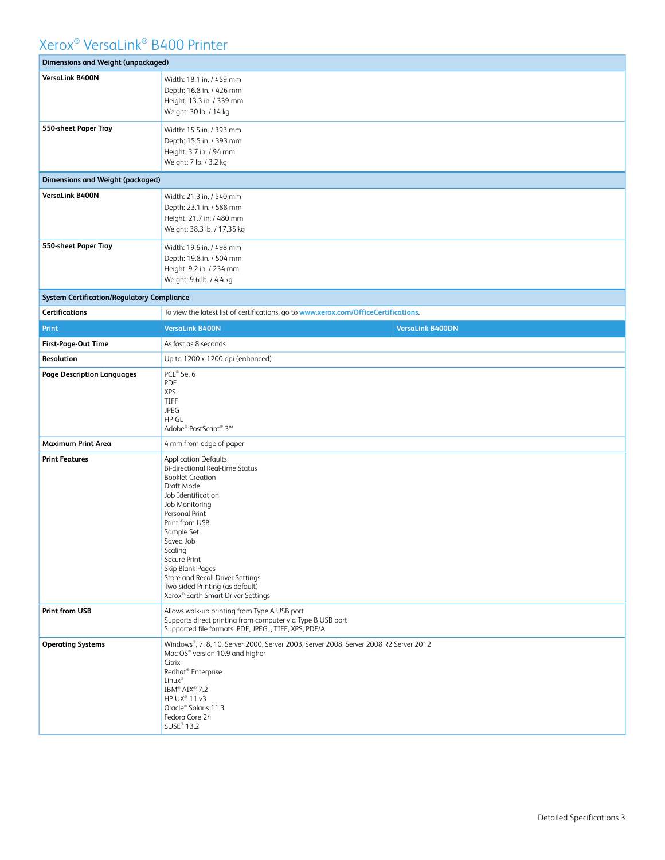| <b>Dimensions and Weight (unpackaged)</b>         |                                                                                                                                                                                                                                                                                                                                                                                   |  |  |  |
|---------------------------------------------------|-----------------------------------------------------------------------------------------------------------------------------------------------------------------------------------------------------------------------------------------------------------------------------------------------------------------------------------------------------------------------------------|--|--|--|
| VersaLink B400N                                   | Width: 18.1 in. / 459 mm<br>Depth: 16.8 in. / 426 mm<br>Height: 13.3 in. / 339 mm<br>Weight: 30 lb. / 14 kg                                                                                                                                                                                                                                                                       |  |  |  |
| 550-sheet Paper Tray                              | Width: 15.5 in. / 393 mm<br>Depth: 15.5 in. / 393 mm<br>Height: 3.7 in. / 94 mm<br>Weight: 7 lb. / 3.2 kg                                                                                                                                                                                                                                                                         |  |  |  |
| <b>Dimensions and Weight (packaged)</b>           |                                                                                                                                                                                                                                                                                                                                                                                   |  |  |  |
| VersaLink B400N                                   | Width: 21.3 in. / 540 mm<br>Depth: 23.1 in. / 588 mm<br>Height: 21.7 in. / 480 mm<br>Weight: 38.3 lb. / 17.35 kg                                                                                                                                                                                                                                                                  |  |  |  |
| 550-sheet Paper Tray                              | Width: 19.6 in. / 498 mm<br>Depth: 19.8 in. / 504 mm<br>Height: 9.2 in. / 234 mm<br>Weight: 9.6 lb. / 4.4 kg                                                                                                                                                                                                                                                                      |  |  |  |
| <b>System Certification/Regulatory Compliance</b> |                                                                                                                                                                                                                                                                                                                                                                                   |  |  |  |
| <b>Certifications</b>                             | To view the latest list of certifications, go to www.xerox.com/OfficeCertifications.                                                                                                                                                                                                                                                                                              |  |  |  |
| Print                                             | <b>VersaLink B400N</b><br><b>VersaLink B400DN</b>                                                                                                                                                                                                                                                                                                                                 |  |  |  |
| First-Page-Out Time                               | As fast as 8 seconds                                                                                                                                                                                                                                                                                                                                                              |  |  |  |
| Resolution                                        | Up to 1200 x 1200 dpi (enhanced)<br>PCL® 5e, 6                                                                                                                                                                                                                                                                                                                                    |  |  |  |
| <b>Page Description Languages</b>                 | PDF<br><b>XPS</b><br>TIFF<br><b>JPEG</b><br>HP-GL<br>Adobe® PostScript® 3™                                                                                                                                                                                                                                                                                                        |  |  |  |
| <b>Maximum Print Area</b>                         | 4 mm from edge of paper                                                                                                                                                                                                                                                                                                                                                           |  |  |  |
| <b>Print Features</b>                             | <b>Application Defaults</b><br><b>Bi-directional Real-time Status</b><br><b>Booklet Creation</b><br>Draft Mode<br>Job Identification<br>Job Monitoring<br>Personal Print<br>Print from USB<br>Sample Set<br>Saved Job<br>Scaling<br>Secure Print<br>Skip Blank Pages<br>Store and Recall Driver Settings<br>Two-sided Printing (as default)<br>Xerox® Earth Smart Driver Settings |  |  |  |
| <b>Print from USB</b>                             | Allows walk-up printing from Type A USB port<br>Supports direct printing from computer via Type B USB port<br>Supported file formats: PDF, JPEG, , TIFF, XPS, PDF/A                                                                                                                                                                                                               |  |  |  |
| <b>Operating Systems</b>                          | Windows®, 7, 8, 10, Server 2000, Server 2003, Server 2008, Server 2008 R2 Server 2012<br>Mac OS® version 10.9 and higher<br>Citrix<br>Redhat® Enterprise<br>Linux <sup>®</sup><br>IBM® AIX® 7.2<br>HP-UX® 11iv3<br>Oracle® Solaris 11.3<br>Fedora Core 24<br>SUSE <sup>®</sup> 13.2                                                                                               |  |  |  |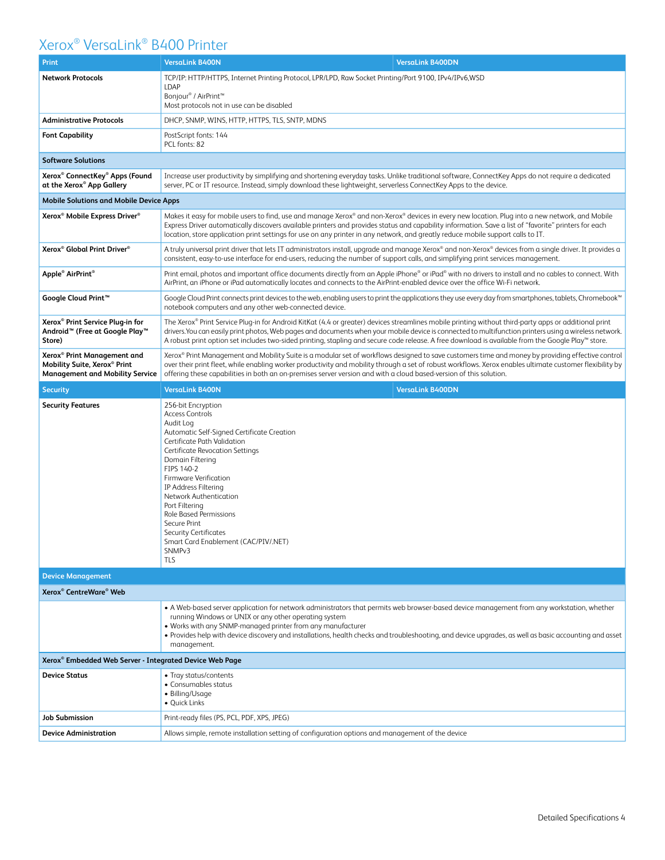| Print                                                                                                                         | <b>VersaLink B400N</b><br><b>VersaLink B400DN</b>                                                                                                                                                                                                                                                                                                                                                                                                                     |  |  |  |
|-------------------------------------------------------------------------------------------------------------------------------|-----------------------------------------------------------------------------------------------------------------------------------------------------------------------------------------------------------------------------------------------------------------------------------------------------------------------------------------------------------------------------------------------------------------------------------------------------------------------|--|--|--|
| <b>Network Protocols</b>                                                                                                      | TCP/IP: HTTP/HTTPS, Internet Printing Protocol, LPR/LPD, Raw Socket Printing/Port 9100, IPv4/IPv6,WSD<br><b>LDAP</b><br>Bonjour® / AirPrint <sup>™</sup><br>Most protocols not in use can be disabled                                                                                                                                                                                                                                                                 |  |  |  |
| <b>Administrative Protocols</b>                                                                                               | DHCP, SNMP, WINS, HTTP, HTTPS, TLS, SNTP, MDNS                                                                                                                                                                                                                                                                                                                                                                                                                        |  |  |  |
| <b>Font Capability</b>                                                                                                        | PostScript fonts: 144<br>PCL fonts: 82                                                                                                                                                                                                                                                                                                                                                                                                                                |  |  |  |
| <b>Software Solutions</b>                                                                                                     |                                                                                                                                                                                                                                                                                                                                                                                                                                                                       |  |  |  |
| Xerox <sup>®</sup> ConnectKey <sup>®</sup> Apps (Found<br>at the Xerox® App Gallery                                           | Increase user productivity by simplifying and shortening everyday tasks. Unlike traditional software, ConnectKey Apps do not require a dedicated<br>server, PC or IT resource. Instead, simply download these lightweight, serverless ConnectKey Apps to the device.                                                                                                                                                                                                  |  |  |  |
| <b>Mobile Solutions and Mobile Device Apps</b>                                                                                |                                                                                                                                                                                                                                                                                                                                                                                                                                                                       |  |  |  |
| Xerox <sup>®</sup> Mobile Express Driver <sup>®</sup>                                                                         | Makes it easy for mobile users to find, use and manage Xerox® and non-Xerox® devices in every new location. Plug into a new network, and Mobile<br>Express Driver automatically discovers available printers and provides status and capability information. Save a list of "favorite" printers for each<br>location, store application print settings for use on any printer in any network, and greatly reduce mobile support calls to IT.                          |  |  |  |
| Xerox <sup>®</sup> Global Print Driver <sup>®</sup>                                                                           | A truly universal print driver that lets IT administrators install, upgrade and manage Xerox® and non-Xerox® devices from a single driver. It provides a<br>consistent, easy-to-use interface for end-users, reducing the number of support calls, and simplifying print services management.                                                                                                                                                                         |  |  |  |
| Apple <sup>®</sup> AirPrint <sup>®</sup>                                                                                      | Print email, photos and important office documents directly from an Apple iPhone® or iPad® with no drivers to install and no cables to connect. With<br>AirPrint, an iPhone or iPad automatically locates and connects to the AirPrint-enabled device over the office Wi-Fi network.                                                                                                                                                                                  |  |  |  |
| Google Cloud Print™                                                                                                           | Google Cloud Print connects print devices to the web, enabling users to print the applications they use every day from smartphones, tablets, Chromebook™<br>notebook computers and any other web-connected device.                                                                                                                                                                                                                                                    |  |  |  |
| Xerox <sup>®</sup> Print Service Plug-in for<br>Android <sup>™</sup> (Free at Google Play <sup>™</sup><br>Store)              | The Xerox® Print Service Plug-in for Android KitKat (4.4 or greater) devices streamlines mobile printing without third-party apps or additional print<br>drivers. You can easily print photos, Web pages and documents when your mobile device is connected to multifunction printers using a wireless network.<br>A robust print option set includes two-sided printing, stapling and secure code release. A free download is available from the Google Play™ store. |  |  |  |
| Xerox <sup>®</sup> Print Management and<br>Mobility Suite, Xerox <sup>®</sup> Print<br><b>Management and Mobility Service</b> | Xerox® Print Management and Mobility Suite is a modular set of workflows designed to save customers time and money by providing effective control<br>over their print fleet, while enabling worker productivity and mobility through a set of robust workflows. Xerox enables ultimate customer flexibility by<br>offering these capabilities in both an on-premises server version and with a cloud based-version of this solution.                                  |  |  |  |
| <b>Security</b>                                                                                                               | <b>VersaLink B400N</b><br><b>VersaLink B400DN</b>                                                                                                                                                                                                                                                                                                                                                                                                                     |  |  |  |
| <b>Security Features</b>                                                                                                      | 256-bit Encryption<br><b>Access Controls</b><br>Audit Log<br>Automatic Self-Signed Certificate Creation<br>Certificate Path Validation<br><b>Certificate Revocation Settings</b><br>Domain Filtering<br>FIPS 140-2<br>Firmware Verification<br>IP Address Filtering<br>Network Authentication<br>Port Filtering<br>Role Based Permissions<br>Secure Print<br><b>Security Certificates</b><br>Smart Card Enablement (CAC/PIV/.NET)<br>SNMP <sub>v3</sub><br>TLS        |  |  |  |
| <b>Device Management</b>                                                                                                      |                                                                                                                                                                                                                                                                                                                                                                                                                                                                       |  |  |  |
| Xerox <sup>®</sup> CentreWare <sup>®</sup> Web                                                                                |                                                                                                                                                                                                                                                                                                                                                                                                                                                                       |  |  |  |
|                                                                                                                               | • A Web-based server application for network administrators that permits web browser-based device management from any workstation, whether<br>running Windows or UNIX or any other operating system<br>. Works with any SNMP-managed printer from any manufacturer<br>• Provides help with device discovery and installations, health checks and troubleshooting, and device upgrades, as well as basic accounting and asset<br>management.                           |  |  |  |
| Xerox <sup>®</sup> Embedded Web Server - Integrated Device Web Page                                                           |                                                                                                                                                                                                                                                                                                                                                                                                                                                                       |  |  |  |
| <b>Device Status</b>                                                                                                          | • Tray status/contents<br>• Consumables status<br>• Billing/Usage<br>• Quick Links                                                                                                                                                                                                                                                                                                                                                                                    |  |  |  |
| <b>Job Submission</b>                                                                                                         | Print-ready files (PS, PCL, PDF, XPS, JPEG)                                                                                                                                                                                                                                                                                                                                                                                                                           |  |  |  |
| <b>Device Administration</b>                                                                                                  | Allows simple, remote installation setting of configuration options and management of the device                                                                                                                                                                                                                                                                                                                                                                      |  |  |  |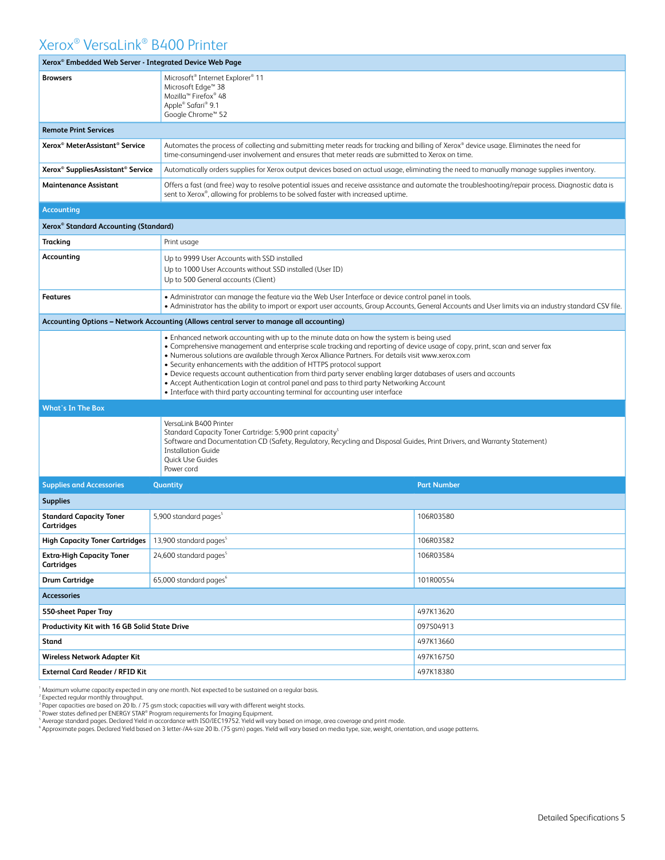| Xerox <sup>®</sup> Embedded Web Server - Integrated Device Web Page |                                                                                                                                                                                                                                                                                                                                                                                                                                                                                                                                                                                                                                                                                                         |                                                                                                                                                                                                                                                               |  |  |
|---------------------------------------------------------------------|---------------------------------------------------------------------------------------------------------------------------------------------------------------------------------------------------------------------------------------------------------------------------------------------------------------------------------------------------------------------------------------------------------------------------------------------------------------------------------------------------------------------------------------------------------------------------------------------------------------------------------------------------------------------------------------------------------|---------------------------------------------------------------------------------------------------------------------------------------------------------------------------------------------------------------------------------------------------------------|--|--|
| <b>Browsers</b>                                                     | Microsoft <sup>®</sup> Internet Explorer <sup>®</sup> 11<br>Microsoft Edge <sup>™</sup> 38<br>Mozilla <sup>™</sup> Firefox <sup>®</sup> 48<br>Apple® Safari® 9.1<br>Google Chrome™ 52                                                                                                                                                                                                                                                                                                                                                                                                                                                                                                                   |                                                                                                                                                                                                                                                               |  |  |
| <b>Remote Print Services</b>                                        |                                                                                                                                                                                                                                                                                                                                                                                                                                                                                                                                                                                                                                                                                                         |                                                                                                                                                                                                                                                               |  |  |
| Xerox <sup>®</sup> MeterAssistant <sup>®</sup> Service              | Automates the process of collecting and submitting meter reads for tracking and billing of Xerox® device usage. Eliminates the need for<br>time-consumingend-user involvement and ensures that meter reads are submitted to Xerox on time.                                                                                                                                                                                                                                                                                                                                                                                                                                                              |                                                                                                                                                                                                                                                               |  |  |
| Xerox <sup>®</sup> SuppliesAssistant® Service                       | Automatically orders supplies for Xerox output devices based on actual usage, eliminating the need to manually manage supplies inventory.                                                                                                                                                                                                                                                                                                                                                                                                                                                                                                                                                               |                                                                                                                                                                                                                                                               |  |  |
| Maintenance Assistant                                               | sent to Xerox®, allowing for problems to be solved faster with increased uptime.                                                                                                                                                                                                                                                                                                                                                                                                                                                                                                                                                                                                                        | Offers a fast (and free) way to resolve potential issues and receive assistance and automate the troubleshooting/repair process. Diagnostic data is                                                                                                           |  |  |
| <b>Accounting</b>                                                   |                                                                                                                                                                                                                                                                                                                                                                                                                                                                                                                                                                                                                                                                                                         |                                                                                                                                                                                                                                                               |  |  |
| Xerox® Standard Accounting (Standard)                               |                                                                                                                                                                                                                                                                                                                                                                                                                                                                                                                                                                                                                                                                                                         |                                                                                                                                                                                                                                                               |  |  |
| Tracking                                                            | Print usage                                                                                                                                                                                                                                                                                                                                                                                                                                                                                                                                                                                                                                                                                             |                                                                                                                                                                                                                                                               |  |  |
| Accounting                                                          | Up to 9999 User Accounts with SSD installed<br>Up to 1000 User Accounts without SSD installed (User ID)<br>Up to 500 General accounts (Client)                                                                                                                                                                                                                                                                                                                                                                                                                                                                                                                                                          |                                                                                                                                                                                                                                                               |  |  |
| <b>Features</b>                                                     |                                                                                                                                                                                                                                                                                                                                                                                                                                                                                                                                                                                                                                                                                                         | . Administrator can manage the feature via the Web User Interface or device control panel in tools.<br>• Administrator has the ability to import or export user accounts, Group Accounts, General Accounts and User limits via an industry standard CSV file. |  |  |
|                                                                     | Accounting Options – Network Accounting (Allows central server to manage all accounting)                                                                                                                                                                                                                                                                                                                                                                                                                                                                                                                                                                                                                |                                                                                                                                                                                                                                                               |  |  |
|                                                                     | • Enhanced network accounting with up to the minute data on how the system is being used<br>• Comprehensive management and enterprise scale tracking and reporting of device usage of copy, print, scan and server fax<br>. Numerous solutions are available through Xerox Alliance Partners. For details visit www.xerox.com<br>• Security enhancements with the addition of HTTPS protocol support<br>• Device requests account authentication from third party server enabling larger databases of users and accounts<br>• Accept Authentication Login at control panel and pass to third party Networking Account<br>• Interface with third party accounting terminal for accounting user interface |                                                                                                                                                                                                                                                               |  |  |
| <b>What's In The Box</b>                                            |                                                                                                                                                                                                                                                                                                                                                                                                                                                                                                                                                                                                                                                                                                         |                                                                                                                                                                                                                                                               |  |  |
|                                                                     | VersaLink B400 Printer<br>Standard Capacity Toner Cartridge: 5,900 print capacity <sup>5</sup><br>Software and Documentation CD (Safety, Regulatory, Recycling and Disposal Guides, Print Drivers, and Warranty Statement)<br><b>Installation Guide</b><br>Quick Use Guides<br>Power cord                                                                                                                                                                                                                                                                                                                                                                                                               |                                                                                                                                                                                                                                                               |  |  |
| <b>Supplies and Accessories</b>                                     | Quantity                                                                                                                                                                                                                                                                                                                                                                                                                                                                                                                                                                                                                                                                                                | <b>Part Number</b>                                                                                                                                                                                                                                            |  |  |
| <b>Supplies</b>                                                     |                                                                                                                                                                                                                                                                                                                                                                                                                                                                                                                                                                                                                                                                                                         |                                                                                                                                                                                                                                                               |  |  |
| <b>Standard Capacity Toner</b><br>Cartridges                        | 5,900 standard pages <sup>5</sup>                                                                                                                                                                                                                                                                                                                                                                                                                                                                                                                                                                                                                                                                       | 106R03580                                                                                                                                                                                                                                                     |  |  |
| <b>High Capacity Toner Cartridges</b>                               | 13,900 standard pages <sup>5</sup>                                                                                                                                                                                                                                                                                                                                                                                                                                                                                                                                                                                                                                                                      | 106R03582                                                                                                                                                                                                                                                     |  |  |
| <b>Extra-High Capacity Toner</b><br>Cartridges                      | 24,600 standard pages <sup>5</sup>                                                                                                                                                                                                                                                                                                                                                                                                                                                                                                                                                                                                                                                                      | 106R03584                                                                                                                                                                                                                                                     |  |  |
| <b>Drum Cartridge</b>                                               | 65,000 standard pages <sup>6</sup>                                                                                                                                                                                                                                                                                                                                                                                                                                                                                                                                                                                                                                                                      | 101R00554                                                                                                                                                                                                                                                     |  |  |
| <b>Accessories</b>                                                  |                                                                                                                                                                                                                                                                                                                                                                                                                                                                                                                                                                                                                                                                                                         |                                                                                                                                                                                                                                                               |  |  |
| 550-sheet Paper Tray                                                |                                                                                                                                                                                                                                                                                                                                                                                                                                                                                                                                                                                                                                                                                                         | 497K13620                                                                                                                                                                                                                                                     |  |  |
| Productivity Kit with 16 GB Solid State Drive                       |                                                                                                                                                                                                                                                                                                                                                                                                                                                                                                                                                                                                                                                                                                         | 097S04913                                                                                                                                                                                                                                                     |  |  |
| Stand                                                               |                                                                                                                                                                                                                                                                                                                                                                                                                                                                                                                                                                                                                                                                                                         | 497K13660                                                                                                                                                                                                                                                     |  |  |
| Wireless Network Adapter Kit                                        |                                                                                                                                                                                                                                                                                                                                                                                                                                                                                                                                                                                                                                                                                                         | 497K16750                                                                                                                                                                                                                                                     |  |  |
| External Card Reader / RFID Kit                                     |                                                                                                                                                                                                                                                                                                                                                                                                                                                                                                                                                                                                                                                                                                         | 497K18380                                                                                                                                                                                                                                                     |  |  |

<sup>1</sup> Maximum volume capacity expected in any one month. Not expected to be sustained on a regular basis.<br><sup>3</sup> Expected regular monthly throughput.<br><sup>4</sup> Power states defined per ENERGY STAR® Program requirements for Imaging Eq